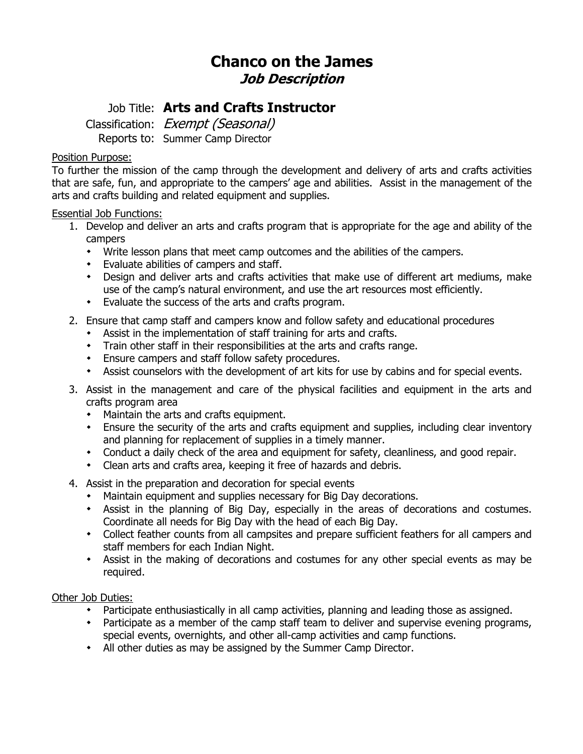# **Chanco on the James Job Description**

# Job Title: **Arts and Crafts Instructor**

Classification: Exempt (Seasonal) Reports to: Summer Camp Director

## Position Purpose:

To further the mission of the camp through the development and delivery of arts and crafts activities that are safe, fun, and appropriate to the campers' age and abilities. Assist in the management of the arts and crafts building and related equipment and supplies.

#### Essential Job Functions:

- 1. Develop and deliver an arts and crafts program that is appropriate for the age and ability of the campers
	- Write lesson plans that meet camp outcomes and the abilities of the campers.
	- Evaluate abilities of campers and staff.
	- Design and deliver arts and crafts activities that make use of different art mediums, make use of the camp's natural environment, and use the art resources most efficiently.
	- Evaluate the success of the arts and crafts program.
- 2. Ensure that camp staff and campers know and follow safety and educational procedures
	- Assist in the implementation of staff training for arts and crafts.
	- Train other staff in their responsibilities at the arts and crafts range.
	- Ensure campers and staff follow safety procedures.
	- Assist counselors with the development of art kits for use by cabins and for special events.
- 3. Assist in the management and care of the physical facilities and equipment in the arts and crafts program area
	- Maintain the arts and crafts equipment.
	- Ensure the security of the arts and crafts equipment and supplies, including clear inventory and planning for replacement of supplies in a timely manner.
	- Conduct a daily check of the area and equipment for safety, cleanliness, and good repair.
	- Clean arts and crafts area, keeping it free of hazards and debris.
- 4. Assist in the preparation and decoration for special events
	- Maintain equipment and supplies necessary for Big Day decorations.
	- Assist in the planning of Big Day, especially in the areas of decorations and costumes. Coordinate all needs for Big Day with the head of each Big Day.
	- Collect feather counts from all campsites and prepare sufficient feathers for all campers and staff members for each Indian Night.
	- Assist in the making of decorations and costumes for any other special events as may be required.

#### Other Job Duties:

- Participate enthusiastically in all camp activities, planning and leading those as assigned.
- Participate as a member of the camp staff team to deliver and supervise evening programs, special events, overnights, and other all-camp activities and camp functions.
- All other duties as may be assigned by the Summer Camp Director.